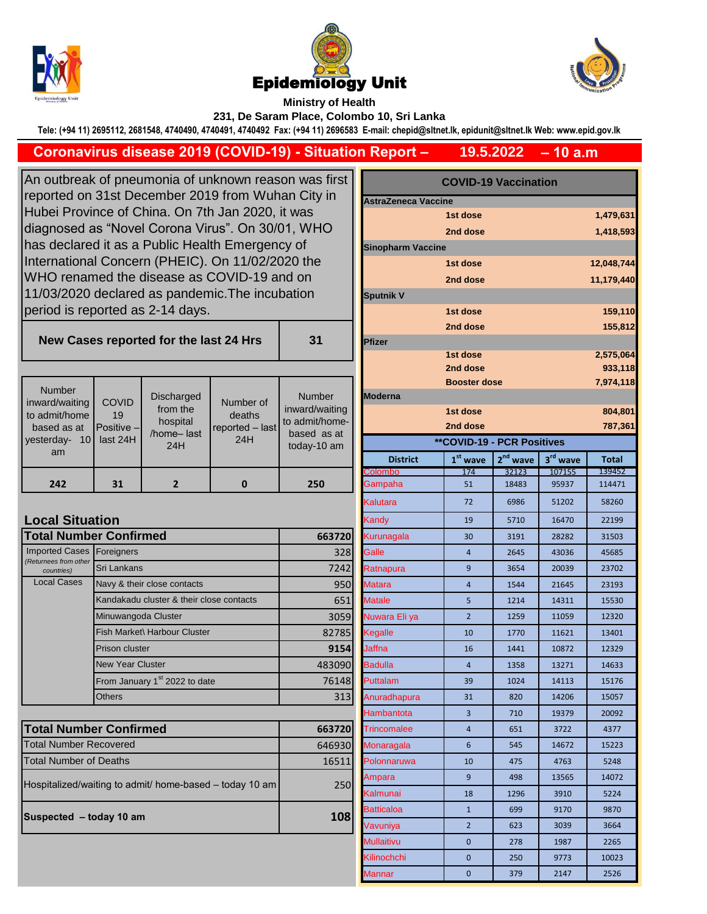





**Ministry of Health 231, De Saram Place, Colombo 10, Sri Lanka**

**Tele: (+94 11) 2695112, 2681548, 4740490, 4740491, 4740492 Fax: (+94 11) 2696583 E-mail: chepid@sltnet.lk, epidunit@sltnet.lk Web: www.epid.gov.lk**

## **Coronavirus disease 2019 (COVID-19) - Situation Report –**

**– 10 a.m 19.5.2022**

An outbreak of pneumonia of unknown reason was first reported on 31st December 2019 from Wuhan City in Hubei Province of China. On 7th Jan 2020, it was diagnosed as "Novel Corona Virus". On 30/01, WHO has declared it as a Public Health Emergency of International Concern (PHEIC). On 11/02/2020 the WHO renamed the disease as COVID-19 and on 11/03/2020 declared as pandemic.The incubation period is reported as 2-14 days.

**New Cases reported for the last 24 Hrs** 

| 31 |
|----|

| <b>Number</b><br>inward/waiting<br>to admit/home<br>based as at<br>10 <sup>1</sup><br>vesterday-<br>am | <b>COVID</b><br>19<br>$Positive -1$<br>last $24H$ | <b>Discharged</b><br>from the<br>hospital<br>/home-last<br>24H | Number of<br>deaths<br>$reported - last$<br>24H | Number<br>inward/waiting<br>to admit/home-<br>based as at<br>today-10 am | <b>Moderna</b><br><b>District</b> | <b>Booster dose</b><br>1st dose<br>2nd dose<br><b>**COVID-19 - PCR Positives</b><br>$1st$ wave | $2nd$ wave | $3rd$ wave | 7,974,1<br>804,8<br>787,3<br><b>Total</b> |
|--------------------------------------------------------------------------------------------------------|---------------------------------------------------|----------------------------------------------------------------|-------------------------------------------------|--------------------------------------------------------------------------|-----------------------------------|------------------------------------------------------------------------------------------------|------------|------------|-------------------------------------------|
|                                                                                                        |                                                   |                                                                |                                                 |                                                                          | Colombo                           | 174                                                                                            | 32123      | 107155     | 139452                                    |
| 242                                                                                                    | 31                                                |                                                                |                                                 | 250                                                                      | Gampaha                           | 51                                                                                             | 18483      | 95937      | 114471                                    |

## **Local Situation**

| <b>Total Number Confirmed</b>       | 663720                                    |        |
|-------------------------------------|-------------------------------------------|--------|
| <b>Imported Cases</b>               | Foreigners                                | 328    |
| (Returnees from other<br>countries) | Sri Lankans                               | 7242   |
| <b>Local Cases</b>                  | Navy & their close contacts               | 950    |
|                                     | Kandakadu cluster & their close contacts  | 651    |
|                                     | Minuwangoda Cluster                       | 3059   |
|                                     | Fish Market\ Harbour Cluster              | 82785  |
|                                     | <b>Prison cluster</b>                     | 9154   |
|                                     | <b>New Year Cluster</b>                   | 483090 |
|                                     | From January 1 <sup>st</sup> 2022 to date | 76148  |
|                                     | Others                                    | 313    |

| <b>Total Number Confirmed</b>                           | 663720 |
|---------------------------------------------------------|--------|
| <b>Total Number Recovered</b>                           | 646930 |
| <b>Total Number of Deaths</b>                           | 16511  |
| Hospitalized/waiting to admit/ home-based – today 10 am | 250    |
| Suspected - today 10 am                                 | 108    |

| s first         | <b>COVID-19 Vaccination</b> |                                   |            |                      |              |  |
|-----------------|-----------------------------|-----------------------------------|------------|----------------------|--------------|--|
| y in            | <b>AstraZeneca Vaccine</b>  |                                   |            |                      |              |  |
|                 |                             | 1st dose                          |            |                      | 1,479,631    |  |
| łО              |                             | 2nd dose                          |            |                      | 1,418,593    |  |
|                 | <b>Sinopharm Vaccine</b>    |                                   |            |                      |              |  |
| €               |                             | 1st dose                          |            |                      | 12,048,744   |  |
|                 |                             | 2nd dose                          |            |                      | 11,179,440   |  |
|                 | <b>Sputnik V</b>            |                                   |            |                      |              |  |
|                 |                             | 1st dose                          |            |                      | 159,110      |  |
|                 |                             | 2nd dose                          |            |                      | 155,812      |  |
| 1               | Pfizer                      |                                   |            |                      |              |  |
|                 |                             | 1st dose                          |            |                      | 2,575,064    |  |
|                 |                             | 2nd dose                          |            |                      | 933,118      |  |
|                 |                             | <b>Booster dose</b>               |            |                      | 7,974,118    |  |
| ıber<br>waiting | Moderna                     | 1st dose                          |            |                      | 804,801      |  |
| /home-          |                             | 2nd dose                          |            |                      | 787,361      |  |
| as at           |                             | <b>**COVID-19 - PCR Positives</b> |            |                      |              |  |
| 10 am           | <b>District</b>             | $1st$ wave                        | $2nd$ wave | 3 <sup>rd</sup> wave | <b>Total</b> |  |
|                 | Colombo                     | 174                               | 32123      | 107155               | 139452       |  |
| Ö               | Gampaha                     | 51                                | 18483      | 95937                | 114471       |  |
|                 | Kalutara                    | 72                                | 6986       | 51202                | 58260        |  |
|                 | Kandy                       | 19                                | 5710       | 16470                | 22199        |  |
| 663720          | Kurunagala                  | 30                                | 3191       | 28282                | 31503        |  |
| 328             | Galle                       | $\overline{4}$                    | 2645       | 43036                | 45685        |  |
| 7242            | Ratnapura                   | 9                                 | 3654       | 20039                | 23702        |  |
| 950             | Matara                      | $\overline{4}$                    | 1544       | 21645                | 23193        |  |
| 651             | Matale                      | 5                                 | 1214       | 14311                | 15530        |  |
| 3059            | Nuwara Eli ya               | $\overline{2}$                    | 1259       | 11059                | 12320        |  |
| 82785           | Kegalle                     | 10                                | 1770       | 11621                | 13401        |  |
| 9154            | Jaffna                      | 16                                | 1441       | 10872                | 12329        |  |
| 483090          | <b>Badulla</b>              | $\overline{4}$                    | 1358       | 13271                | 14633        |  |
| 76148           | Puttalam                    | 39                                | 1024       | 14113                | 15176        |  |
| 313             | Anuradhapura                | 31                                | 820        | 14206                | 15057        |  |
|                 | Hambantota                  | 3                                 | 710        | 19379                | 20092        |  |
| 663720          | Trincomalee                 | 4                                 | 651        | 3722                 | 4377         |  |
| 646930          | Monaragala                  | 6                                 | 545        | 14672                | 15223        |  |
| 16511           | Polonnaruwa                 | 10                                | 475        | 4763                 | 5248         |  |
| 250             | Ampara                      | 9                                 | 498        | 13565                | 14072        |  |
|                 | Kalmunai                    | 18                                | 1296       | 3910                 | 5224         |  |
| 108             | Batticaloa                  | $\mathbf{1}$                      | 699        | 9170                 | 9870         |  |
|                 | Vavuniya                    | $\overline{2}$                    | 623        | 3039                 | 3664         |  |
|                 | Mullaitivu                  | 0                                 | 278        | 1987                 | 2265         |  |
|                 | Kilinochchi                 | $\mathbf{0}$                      | 250        | 9773                 | 10023        |  |
|                 | Mannar                      | 0                                 | 379        | 2147                 | 2526         |  |